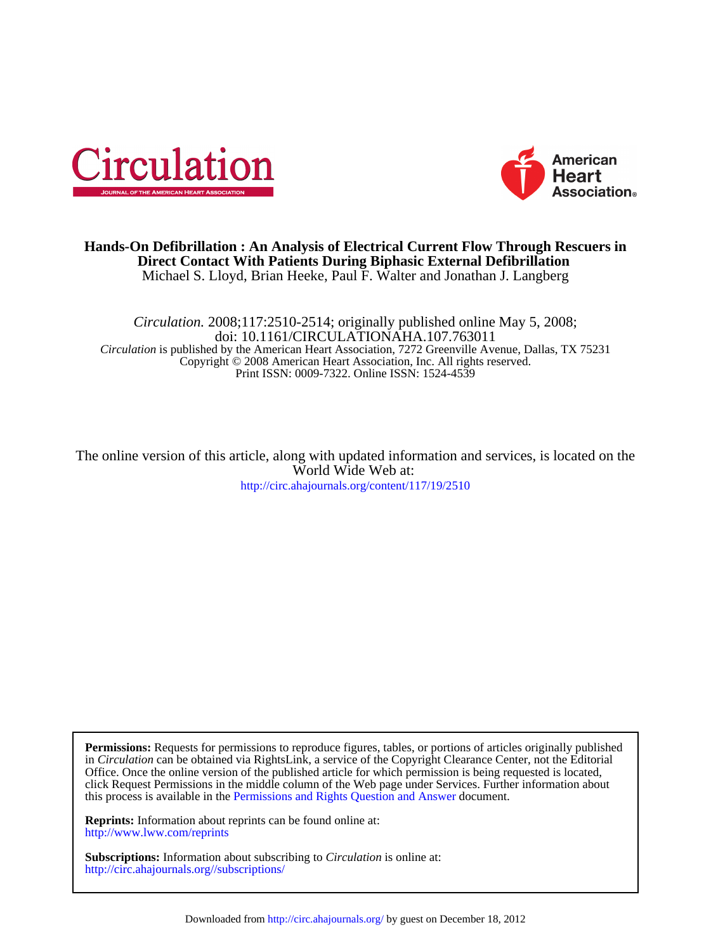



## Michael S. Lloyd, Brian Heeke, Paul F. Walter and Jonathan J. Langberg **Direct Contact With Patients During Biphasic External Defibrillation Hands-On Defibrillation : An Analysis of Electrical Current Flow Through Rescuers in**

#### Print ISSN: 0009-7322. Online ISSN: 1524-4539 Copyright © 2008 American Heart Association, Inc. All rights reserved. *Circulation* is published by the American Heart Association, 7272 Greenville Avenue, Dallas, TX 75231 doi: 10.1161/CIRCULATIONAHA.107.763011 *Circulation.* 2008;117:2510-2514; originally published online May 5, 2008;

<http://circ.ahajournals.org/content/117/19/2510> World Wide Web at: The online version of this article, along with updated information and services, is located on the

this process is available in the [Permissions and Rights Question and Answer d](http://www.ahajournals.org/site/rights/)ocument. click Request Permissions in the middle column of the Web page under Services. Further information about Office. Once the online version of the published article for which permission is being requested is located, in *Circulation* can be obtained via RightsLink, a service of the Copyright Clearance Center, not the Editorial **Permissions:** Requests for permissions to reproduce figures, tables, or portions of articles originally published

<http://www.lww.com/reprints> **Reprints:** Information about reprints can be found online at:

<http://circ.ahajournals.org//subscriptions/> **Subscriptions:** Information about subscribing to *Circulation* is online at: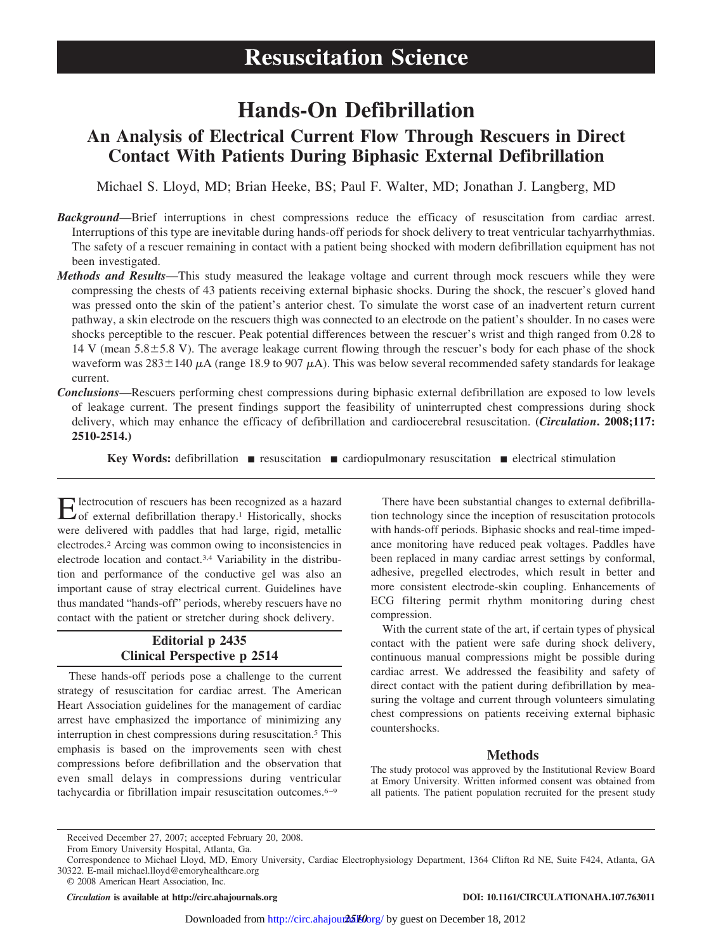# **Hands-On Defibrillation**

## **An Analysis of Electrical Current Flow Through Rescuers in Direct Contact With Patients During Biphasic External Defibrillation**

Michael S. Lloyd, MD; Brian Heeke, BS; Paul F. Walter, MD; Jonathan J. Langberg, MD

- *Background*—Brief interruptions in chest compressions reduce the efficacy of resuscitation from cardiac arrest. Interruptions of this type are inevitable during hands-off periods for shock delivery to treat ventricular tachyarrhythmias. The safety of a rescuer remaining in contact with a patient being shocked with modern defibrillation equipment has not been investigated.
- *Methods and Results*—This study measured the leakage voltage and current through mock rescuers while they were compressing the chests of 43 patients receiving external biphasic shocks. During the shock, the rescuer's gloved hand was pressed onto the skin of the patient's anterior chest. To simulate the worst case of an inadvertent return current pathway, a skin electrode on the rescuers thigh was connected to an electrode on the patient's shoulder. In no cases were shocks perceptible to the rescuer. Peak potential differences between the rescuer's wrist and thigh ranged from 0.28 to 14 V (mean  $5.8\pm5.8$  V). The average leakage current flowing through the rescuer's body for each phase of the shock waveform was  $283\pm140 \mu A$  (range 18.9 to 907  $\mu A$ ). This was below several recommended safety standards for leakage current.
- *Conclusions*—Rescuers performing chest compressions during biphasic external defibrillation are exposed to low levels of leakage current. The present findings support the feasibility of uninterrupted chest compressions during shock delivery, which may enhance the efficacy of defibrillation and cardiocerebral resuscitation. **(***Circulation***. 2008;117: 2510-2514.)**

**Key Words:** defibrillation  $\blacksquare$  resuscitation  $\blacksquare$  cardiopulmonary resuscitation  $\blacksquare$  electrical stimulation

Electrocution of rescuers has been recognized as a hazard of external defibrillation therapy.1 Historically, shocks were delivered with paddles that had large, rigid, metallic electrodes.2 Arcing was common owing to inconsistencies in electrode location and contact.3,4 Variability in the distribution and performance of the conductive gel was also an important cause of stray electrical current. Guidelines have thus mandated "hands-off" periods, whereby rescuers have no contact with the patient or stretcher during shock delivery.

## **Editorial p 2435 Clinical Perspective p 2514**

These hands-off periods pose a challenge to the current strategy of resuscitation for cardiac arrest. The American Heart Association guidelines for the management of cardiac arrest have emphasized the importance of minimizing any interruption in chest compressions during resuscitation.5 This emphasis is based on the improvements seen with chest compressions before defibrillation and the observation that even small delays in compressions during ventricular tachycardia or fibrillation impair resuscitation outcomes.<sup>6-9</sup>

There have been substantial changes to external defibrillation technology since the inception of resuscitation protocols with hands-off periods. Biphasic shocks and real-time impedance monitoring have reduced peak voltages. Paddles have been replaced in many cardiac arrest settings by conformal, adhesive, pregelled electrodes, which result in better and more consistent electrode-skin coupling. Enhancements of ECG filtering permit rhythm monitoring during chest compression.

With the current state of the art, if certain types of physical contact with the patient were safe during shock delivery, continuous manual compressions might be possible during cardiac arrest. We addressed the feasibility and safety of direct contact with the patient during defibrillation by measuring the voltage and current through volunteers simulating chest compressions on patients receiving external biphasic countershocks.

#### **Methods**

The study protocol was approved by the Institutional Review Board at Emory University. Written informed consent was obtained from all patients. The patient population recruited for the present study

Received December 27, 2007; accepted February 20, 2008.

From Emory University Hospital, Atlanta, Ga.

Correspondence to Michael Lloyd, MD, Emory University, Cardiac Electrophysiology Department, 1364 Clifton Rd NE, Suite F424, Atlanta, GA 30322. E-mail michael.lloyd@emoryhealthcare.org

<sup>© 2008</sup> American Heart Association, Inc.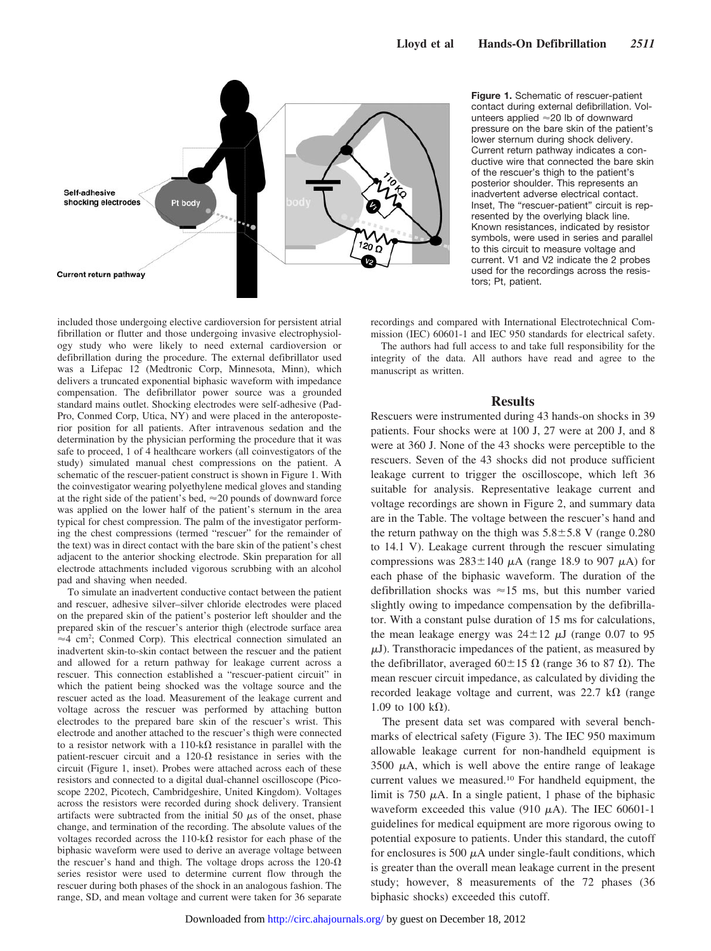

unteers applied  $\approx$  20 lb of downward pressure on the bare skin of the patient's lower sternum during shock delivery. Current return pathway indicates a conductive wire that connected the bare skin of the rescuer's thigh to the patient's posterior shoulder. This represents an inadvertent adverse electrical contact. Inset, The "rescuer-patient" circuit is represented by the overlying black line. Known resistances, indicated by resistor symbols, were used in series and parallel to this circuit to measure voltage and current. V1 and V2 indicate the 2 probes used for the recordings across the resistors; Pt, patient.

recordings and compared with International Electrotechnical Commission (IEC) 60601-1 and IEC 950 standards for electrical safety.

The authors had full access to and take full responsibility for the integrity of the data. All authors have read and agree to the manuscript as written.

#### **Results**

Rescuers were instrumented during 43 hands-on shocks in 39 patients. Four shocks were at 100 J, 27 were at 200 J, and 8 were at 360 J. None of the 43 shocks were perceptible to the rescuers. Seven of the 43 shocks did not produce sufficient leakage current to trigger the oscilloscope, which left 36 suitable for analysis. Representative leakage current and voltage recordings are shown in Figure 2, and summary data are in the Table. The voltage between the rescuer's hand and the return pathway on the thigh was  $5.8 \pm 5.8$  V (range 0.280) to 14.1 V). Leakage current through the rescuer simulating compressions was  $283 \pm 140 \mu A$  (range 18.9 to 907  $\mu A$ ) for each phase of the biphasic waveform. The duration of the defibrillation shocks was  $\approx$  15 ms, but this number varied slightly owing to impedance compensation by the defibrillator. With a constant pulse duration of 15 ms for calculations, the mean leakage energy was  $24 \pm 12 \mu J$  (range 0.07 to 95  $\mu$ J). Transthoracic impedances of the patient, as measured by the defibrillator, averaged  $60 \pm 15 \Omega$  (range 36 to 87  $\Omega$ ). The mean rescuer circuit impedance, as calculated by dividing the recorded leakage voltage and current, was  $22.7 \text{ k}\Omega$  (range 1.09 to 100  $k\Omega$ ).

The present data set was compared with several benchmarks of electrical safety (Figure 3). The IEC 950 maximum allowable leakage current for non-handheld equipment is 3500  $\mu$ A, which is well above the entire range of leakage current values we measured.10 For handheld equipment, the limit is 750  $\mu$ A. In a single patient, 1 phase of the biphasic waveform exceeded this value (910  $\mu$ A). The IEC 60601-1 guidelines for medical equipment are more rigorous owing to potential exposure to patients. Under this standard, the cutoff for enclosures is 500  $\mu$ A under single-fault conditions, which is greater than the overall mean leakage current in the present study; however, 8 measurements of the 72 phases (36 biphasic shocks) exceeded this cutoff.

included those undergoing elective cardioversion for persistent atrial fibrillation or flutter and those undergoing invasive electrophysiology study who were likely to need external cardioversion or defibrillation during the procedure. The external defibrillator used was a Lifepac 12 (Medtronic Corp, Minnesota, Minn), which delivers a truncated exponential biphasic waveform with impedance compensation. The defibrillator power source was a grounded standard mains outlet. Shocking electrodes were self-adhesive (Pad-Pro, Conmed Corp, Utica, NY) and were placed in the anteroposterior position for all patients. After intravenous sedation and the determination by the physician performing the procedure that it was safe to proceed, 1 of 4 healthcare workers (all coinvestigators of the study) simulated manual chest compressions on the patient. A schematic of the rescuer-patient construct is shown in Figure 1. With the coinvestigator wearing polyethylene medical gloves and standing at the right side of the patient's bed,  $\approx$  20 pounds of downward force was applied on the lower half of the patient's sternum in the area typical for chest compression. The palm of the investigator performing the chest compressions (termed "rescuer" for the remainder of the text) was in direct contact with the bare skin of the patient's chest adjacent to the anterior shocking electrode. Skin preparation for all electrode attachments included vigorous scrubbing with an alcohol pad and shaving when needed.

To simulate an inadvertent conductive contact between the patient and rescuer, adhesive silver–silver chloride electrodes were placed on the prepared skin of the patient's posterior left shoulder and the prepared skin of the rescuer's anterior thigh (electrode surface area  $\approx$  4 cm<sup>2</sup>; Conmed Corp). This electrical connection simulated an inadvertent skin-to-skin contact between the rescuer and the patient and allowed for a return pathway for leakage current across a rescuer. This connection established a "rescuer-patient circuit" in which the patient being shocked was the voltage source and the rescuer acted as the load. Measurement of the leakage current and voltage across the rescuer was performed by attaching button electrodes to the prepared bare skin of the rescuer's wrist. This electrode and another attached to the rescuer's thigh were connected to a resistor network with a 110-k $\Omega$  resistance in parallel with the patient-rescuer circuit and a 120- $\Omega$  resistance in series with the circuit (Figure 1, inset). Probes were attached across each of these resistors and connected to a digital dual-channel oscilloscope (Picoscope 2202, Picotech, Cambridgeshire, United Kingdom). Voltages across the resistors were recorded during shock delivery. Transient artifacts were subtracted from the initial 50  $\mu$ s of the onset, phase change, and termination of the recording. The absolute values of the voltages recorded across the 110-k $\Omega$  resistor for each phase of the biphasic waveform were used to derive an average voltage between the rescuer's hand and thigh. The voltage drops across the  $120-\Omega$ series resistor were used to determine current flow through the rescuer during both phases of the shock in an analogous fashion. The range, SD, and mean voltage and current were taken for 36 separate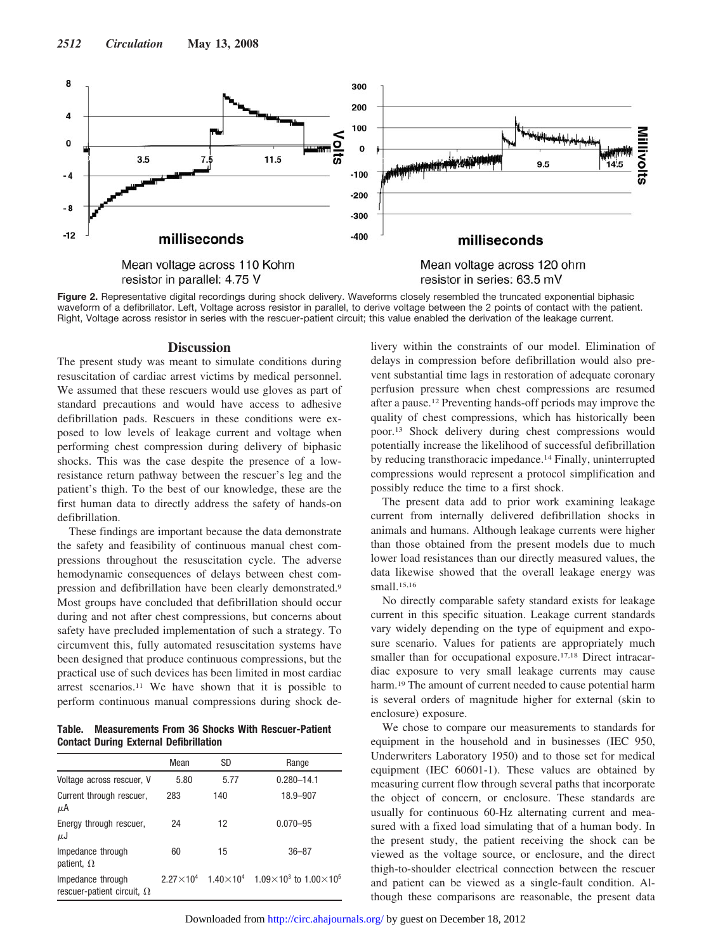

resistor in parallel: 4.75 V

resistor in series: 63.5 mV

**Figure 2.** Representative digital recordings during shock delivery. Waveforms closely resembled the truncated exponential biphasic waveform of a defibrillator. Left, Voltage across resistor in parallel, to derive voltage between the 2 points of contact with the patient. Right, Voltage across resistor in series with the rescuer-patient circuit; this value enabled the derivation of the leakage current.

#### **Discussion**

The present study was meant to simulate conditions during resuscitation of cardiac arrest victims by medical personnel. We assumed that these rescuers would use gloves as part of standard precautions and would have access to adhesive defibrillation pads. Rescuers in these conditions were exposed to low levels of leakage current and voltage when performing chest compression during delivery of biphasic shocks. This was the case despite the presence of a lowresistance return pathway between the rescuer's leg and the patient's thigh. To the best of our knowledge, these are the first human data to directly address the safety of hands-on defibrillation.

These findings are important because the data demonstrate the safety and feasibility of continuous manual chest compressions throughout the resuscitation cycle. The adverse hemodynamic consequences of delays between chest compression and defibrillation have been clearly demonstrated.9 Most groups have concluded that defibrillation should occur during and not after chest compressions, but concerns about safety have precluded implementation of such a strategy. To circumvent this, fully automated resuscitation systems have been designed that produce continuous compressions, but the practical use of such devices has been limited in most cardiac arrest scenarios.11 We have shown that it is possible to perform continuous manual compressions during shock de-

**Table. Measurements From 36 Shocks With Rescuer-Patient Contact During External Defibrillation**

|                                                        | Mean               | SD   | Range                                                         |
|--------------------------------------------------------|--------------------|------|---------------------------------------------------------------|
| Voltage across rescuer, V                              | 5.80               | 5.77 | $0.280 - 14.1$                                                |
| Current through rescuer,<br>μA                         | 283                | 140  | 18.9-907                                                      |
| Energy through rescuer,<br>μJ                          | 24                 | 12   | $0.070 - 95$                                                  |
| Impedance through<br>patient, $\Omega$                 | 60                 | 15   | $36 - 87$                                                     |
| Impedance through<br>rescuer-patient circuit, $\Omega$ | $2.27\times10^{4}$ |      | $1.40\times10^{4}$ 1.09 $\times10^{3}$ to 1.00 $\times10^{5}$ |

livery within the constraints of our model. Elimination of delays in compression before defibrillation would also prevent substantial time lags in restoration of adequate coronary perfusion pressure when chest compressions are resumed after a pause.12 Preventing hands-off periods may improve the quality of chest compressions, which has historically been poor.13 Shock delivery during chest compressions would potentially increase the likelihood of successful defibrillation by reducing transthoracic impedance.14 Finally, uninterrupted compressions would represent a protocol simplification and possibly reduce the time to a first shock.

The present data add to prior work examining leakage current from internally delivered defibrillation shocks in animals and humans. Although leakage currents were higher than those obtained from the present models due to much lower load resistances than our directly measured values, the data likewise showed that the overall leakage energy was small.<sup>15,16</sup>

No directly comparable safety standard exists for leakage current in this specific situation. Leakage current standards vary widely depending on the type of equipment and exposure scenario. Values for patients are appropriately much smaller than for occupational exposure.<sup>17,18</sup> Direct intracardiac exposure to very small leakage currents may cause harm.<sup>19</sup> The amount of current needed to cause potential harm is several orders of magnitude higher for external (skin to enclosure) exposure.

We chose to compare our measurements to standards for equipment in the household and in businesses (IEC 950, Underwriters Laboratory 1950) and to those set for medical equipment (IEC 60601-1). These values are obtained by measuring current flow through several paths that incorporate the object of concern, or enclosure. These standards are usually for continuous 60-Hz alternating current and measured with a fixed load simulating that of a human body. In the present study, the patient receiving the shock can be viewed as the voltage source, or enclosure, and the direct thigh-to-shoulder electrical connection between the rescuer and patient can be viewed as a single-fault condition. Although these comparisons are reasonable, the present data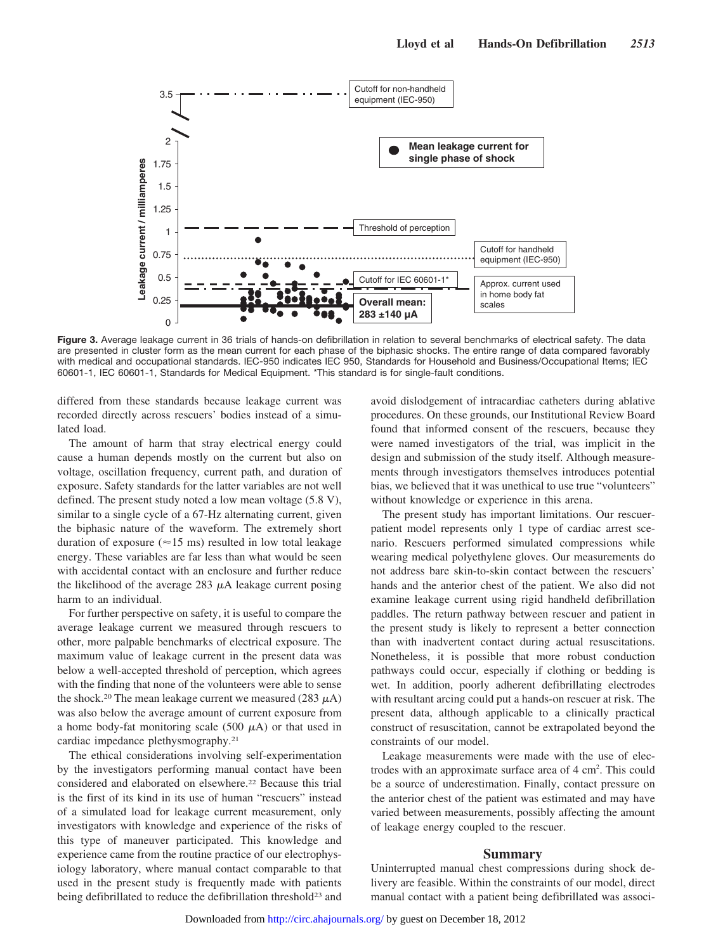

**Figure 3.** Average leakage current in 36 trials of hands-on defibrillation in relation to several benchmarks of electrical safety. The data are presented in cluster form as the mean current for each phase of the biphasic shocks. The entire range of data compared favorably with medical and occupational standards. IEC-950 indicates IEC 950, Standards for Household and Business/Occupational Items; IEC 60601-1, IEC 60601-1, Standards for Medical Equipment. \*This standard is for single-fault conditions.

differed from these standards because leakage current was recorded directly across rescuers' bodies instead of a simulated load.

The amount of harm that stray electrical energy could cause a human depends mostly on the current but also on voltage, oscillation frequency, current path, and duration of exposure. Safety standards for the latter variables are not well defined. The present study noted a low mean voltage (5.8 V), similar to a single cycle of a 67-Hz alternating current, given the biphasic nature of the waveform. The extremely short duration of exposure ( $\approx$ 15 ms) resulted in low total leakage energy. These variables are far less than what would be seen with accidental contact with an enclosure and further reduce the likelihood of the average  $283 \mu A$  leakage current posing harm to an individual.

For further perspective on safety, it is useful to compare the average leakage current we measured through rescuers to other, more palpable benchmarks of electrical exposure. The maximum value of leakage current in the present data was below a well-accepted threshold of perception, which agrees with the finding that none of the volunteers were able to sense the shock.<sup>20</sup> The mean leakage current we measured (283  $\mu$ A) was also below the average amount of current exposure from a home body-fat monitoring scale  $(500 \mu A)$  or that used in cardiac impedance plethysmography.21

The ethical considerations involving self-experimentation by the investigators performing manual contact have been considered and elaborated on elsewhere.22 Because this trial is the first of its kind in its use of human "rescuers" instead of a simulated load for leakage current measurement, only investigators with knowledge and experience of the risks of this type of maneuver participated. This knowledge and experience came from the routine practice of our electrophysiology laboratory, where manual contact comparable to that used in the present study is frequently made with patients being defibrillated to reduce the defibrillation threshold<sup>23</sup> and avoid dislodgement of intracardiac catheters during ablative procedures. On these grounds, our Institutional Review Board found that informed consent of the rescuers, because they were named investigators of the trial, was implicit in the design and submission of the study itself. Although measurements through investigators themselves introduces potential bias, we believed that it was unethical to use true "volunteers" without knowledge or experience in this arena.

The present study has important limitations. Our rescuerpatient model represents only 1 type of cardiac arrest scenario. Rescuers performed simulated compressions while wearing medical polyethylene gloves. Our measurements do not address bare skin-to-skin contact between the rescuers' hands and the anterior chest of the patient. We also did not examine leakage current using rigid handheld defibrillation paddles. The return pathway between rescuer and patient in the present study is likely to represent a better connection than with inadvertent contact during actual resuscitations. Nonetheless, it is possible that more robust conduction pathways could occur, especially if clothing or bedding is wet. In addition, poorly adherent defibrillating electrodes with resultant arcing could put a hands-on rescuer at risk. The present data, although applicable to a clinically practical construct of resuscitation, cannot be extrapolated beyond the constraints of our model.

Leakage measurements were made with the use of electrodes with an approximate surface area of 4 cm<sup>2</sup>. This could be a source of underestimation. Finally, contact pressure on the anterior chest of the patient was estimated and may have varied between measurements, possibly affecting the amount of leakage energy coupled to the rescuer.

#### **Summary**

Uninterrupted manual chest compressions during shock delivery are feasible. Within the constraints of our model, direct manual contact with a patient being defibrillated was associ